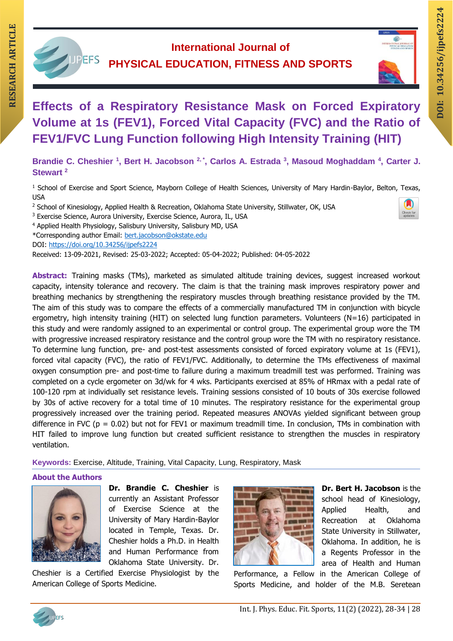

# **International Journal of PHYSICAL EDUCATION, FITNESS AND SPORTS**



# **DOI: 10.34256/ijpefs2 RESERVE ARE:**<br> **RESERVED ARTICLE EDUCATION, FITNESS AND SPORTS**<br>
Effects of a Respiratory Resistance Mask on Forced Expiratory<br>
Mask on Forced Expiratory **Effects of a Respiratory Resistance Mask on Forced Expiratory Volume at 1s (FEV1), Forced Vital Capacity (FVC) and the Ratio of**

# Brandie C. Cheshier <sup>1</sup>, Bert H. Jacobson <sup>2, \*</sup>, Carlos A. Estrada <sup>3</sup>, Masoud Moghaddam <sup>4</sup>, Carter J. **Stewart <sup>2</sup>**

**FEV1/FVC Lung Function following High Intensity Training (HIT)**

<sup>1</sup> School of Exercise and Sport Science, Mayborn College of Health Sciences, University of Mary Hardin-Baylor, Belton, Texas, USA

- <sup>2</sup> School of Kinesiology, Applied Health & Recreation, Oklahoma State University, Stillwater, OK, USA
- <sup>3</sup> Exercise Science, Aurora University, Exercise Science, Aurora, IL, USA
- <sup>4</sup> Applied Health Physiology, Salisbury University, Salisbury MD, USA
- \*Corresponding author Email: [bert.jacobson@okstate.edu](mailto:bert.jacobson@okstate.edu)

DOI: <https://doi.org/10.34256/ijpefs2224>

Received: 13-09-2021, Revised: 25-03-2022; Accepted: 05-04-2022; Published: 04-05-2022

**Abstract:** Training masks (TMs), marketed as simulated altitude training devices, suggest increased workout capacity, intensity tolerance and recovery. The claim is that the training mask improves respiratory power and breathing mechanics by strengthening the respiratory muscles through breathing resistance provided by the TM. The aim of this study was to compare the effects of a commercially manufactured TM in conjunction with bicycle ergometry, high intensity training (HIT) on selected lung function parameters. Volunteers (N=16) participated in this study and were randomly assigned to an experimental or control group. The experimental group wore the TM with progressive increased respiratory resistance and the control group wore the TM with no respiratory resistance. To determine lung function, pre- and post-test assessments consisted of forced expiratory volume at 1s (FEV1), forced vital capacity (FVC), the ratio of FEV1/FVC. Additionally, to determine the TMs effectiveness of maximal oxygen consumption pre- and post-time to failure during a maximum treadmill test was performed. Training was completed on a cycle ergometer on 3d/wk for 4 wks. Participants exercised at 85% of HRmax with a pedal rate of 100-120 rpm at individually set resistance levels. Training sessions consisted of 10 bouts of 30s exercise followed by 30s of active recovery for a total time of 10 minutes. The respiratory resistance for the experimental group progressively increased over the training period. Repeated measures ANOVAs yielded significant between group difference in FVC ( $p = 0.02$ ) but not for FEV1 or maximum treadmill time. In conclusion, TMs in combination with HIT failed to improve lung function but created sufficient resistance to strengthen the muscles in respiratory ventilation.

**Keywords:** Exercise, Altitude, Training, Vital Capacity, Lung, Respiratory, Mask

### **About the Authors**



**Dr. Brandie C. Cheshier** is currently an Assistant Professor of Exercise Science at the University of Mary Hardin-Baylor located in Temple, Texas. Dr. Cheshier holds a Ph.D. in Health and Human Performance from Oklahoma State University. Dr.

Cheshier is a Certified Exercise Physiologist by the American College of Sports Medicine.



**Dr. Bert H. Jacobson** is the school head of Kinesiology, Applied Health, and Recreation at Oklahoma State University in Stillwater, Oklahoma. In addition, he is a Regents Professor in the area of Health and Human

Performance, a Fellow in the American College of Sports Medicine, and holder of the M.B. Seretean



**224**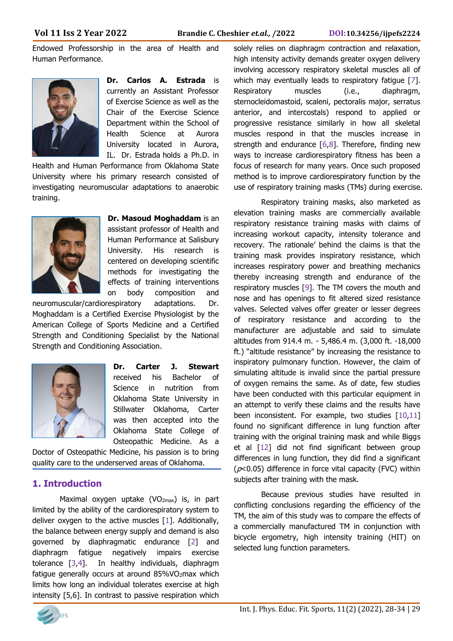Endowed Professorship in the area of Health and Human Performance.



**Dr. Carlos A. Estrada** is currently an Assistant Professor of Exercise Science as well as the Chair of the Exercise Science Department within the School of Health Science at Aurora University located in Aurora, IL. Dr. Estrada holds a Ph.D. in

Health and Human Performance from Oklahoma State University where his primary research consisted of investigating neuromuscular adaptations to anaerobic training.



**Dr. Masoud Moghaddam** is an assistant professor of Health and Human Performance at Salisbury University. His research is centered on developing scientific methods for investigating the effects of training interventions on body composition and

neuromuscular/cardiorespiratory adaptations. Dr. Moghaddam is a Certified Exercise Physiologist by the American College of Sports Medicine and a Certified Strength and Conditioning Specialist by the National Strength and Conditioning Association.



**Dr. Carter J. Stewart**  received his Bachelor of Science in nutrition from Oklahoma State University in Stillwater Oklahoma, Carter was then accepted into the Oklahoma State College of Osteopathic Medicine. As a

Doctor of Osteopathic Medicine, his passion is to bring quality care to the underserved areas of Oklahoma.

# **1. Introduction**

Maximal oxygen uptake (VO<sub>2max</sub>) is, in part limited by the ability of the cardiorespiratory system to deliver oxygen to the active muscles [1]. Additionally, the balance between energy supply and demand is also governed by diaphragmatic endurance [2] and diaphragm fatigue negatively impairs exercise tolerance [3,4]. In healthy individuals, diaphragm fatigue generally occurs at around 85%VO2max which limits how long an individual tolerates exercise at high intensity [5,6]. In contrast to passive respiration which

solely relies on diaphragm contraction and relaxation, high intensity activity demands greater oxygen delivery involving accessory respiratory skeletal muscles all of which may eventually leads to respiratory fatique [7]. Respiratory muscles (i.e., diaphragm, sternocleidomastoid, scaleni, pectoralis major, serratus anterior, and intercostals) respond to applied or progressive resistance similarly in how all skeletal muscles respond in that the muscles increase in strength and endurance  $[6,8]$ . Therefore, finding new ways to increase cardiorespiratory fitness has been a focus of research for many years. Once such proposed method is to improve cardiorespiratory function by the use of respiratory training masks (TMs) during exercise.

Respiratory training masks, also marketed as elevation training masks are commercially available respiratory resistance training masks with claims of increasing workout capacity, intensity tolerance and recovery. The rationale' behind the claims is that the training mask provides inspiratory resistance, which increases respiratory power and breathing mechanics thereby increasing strength and endurance of the respiratory muscles [9]. The TM covers the mouth and nose and has openings to fit altered sized resistance valves. Selected valves offer greater or lesser degrees of respiratory resistance and according to the manufacturer are adjustable and said to simulate altitudes from 914.4 m. - 5,486.4 m. (3,000 ft. -18,000 ft.) "altitude resistance" by increasing the resistance to inspiratory pulmonary function. However, the claim of simulating altitude is invalid since the partial pressure of oxygen remains the same. As of date, few studies have been conducted with this particular equipment in an attempt to verify these claims and the results have been inconsistent. For example, two studies [10,11] found no significant difference in lung function after training with the original training mask and while Biggs et al [12] did not find significant between group differences in lung function, they did find a significant ( $p$ <0.05) difference in force vital capacity (FVC) within subjects after training with the mask.

Because previous studies have resulted in conflicting conclusions regarding the efficiency of the TM, the aim of this study was to compare the effects of a commercially manufactured TM in conjunction with bicycle ergometry, high intensity training (HIT) on selected lung function parameters.

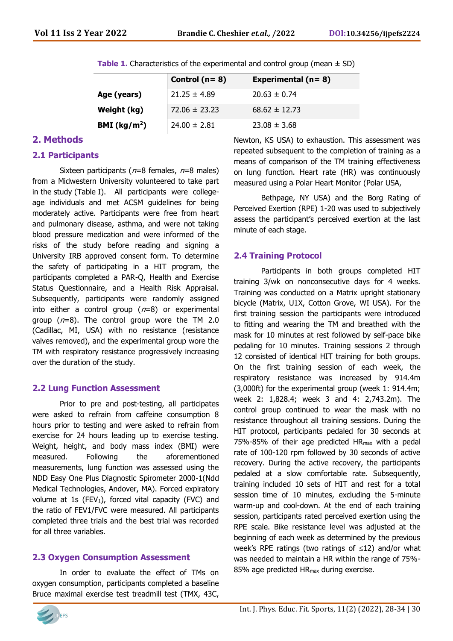| <b>Table 1.</b> Characteristics of the experimental and control group (mean $\pm$ SD) |  |  |  |
|---------------------------------------------------------------------------------------|--|--|--|
|---------------------------------------------------------------------------------------|--|--|--|

|                          | Control ( $n = 8$ ) | Experimental ( $n = 8$ ) |
|--------------------------|---------------------|--------------------------|
| Age (years)              | $21.25 \pm 4.89$    | $20.63 \pm 0.74$         |
| Weight (kg)              | $72.06 \pm 23.23$   | $68.62 \pm 12.73$        |
| BMI (kg/m <sup>2</sup> ) | $24.00 \pm 2.81$    | $23.08 \pm 3.68$         |

## **2. Methods**

#### **2.1 Participants**

Sixteen participants ( $n=8$  females,  $n=8$  males) from a Midwestern University volunteered to take part in the study (Table I). All participants were collegeage individuals and met ACSM guidelines for being moderately active. Participants were free from heart and pulmonary disease, asthma, and were not taking blood pressure medication and were informed of the risks of the study before reading and signing a University IRB approved consent form. To determine the safety of participating in a HIT program, the participants completed a PAR-Q, Health and Exercise Status Questionnaire, and a Health Risk Appraisal. Subsequently, participants were randomly assigned into either a control group  $(n=8)$  or experimental group  $(n=8)$ . The control group wore the TM 2.0 (Cadillac, MI, USA) with no resistance (resistance valves removed), and the experimental group wore the TM with respiratory resistance progressively increasing over the duration of the study.

### **2.2 Lung Function Assessment**

Prior to pre and post-testing, all participates were asked to refrain from caffeine consumption 8 hours prior to testing and were asked to refrain from exercise for 24 hours leading up to exercise testing. Weight, height, and body mass index (BMI) were measured. Following the aforementioned measurements, lung function was assessed using the NDD Easy One Plus Diagnostic Spirometer 2000-1(Ndd Medical Technologies, Andover, MA). Forced expiratory volume at 1s (FEV<sub>1</sub>), forced vital capacity (FVC) and the ratio of FEV1/FVC were measured. All participants completed three trials and the best trial was recorded for all three variables.

### **2.3 Oxygen Consumption Assessment**

In order to evaluate the effect of TMs on oxygen consumption, participants completed a baseline Bruce maximal exercise test treadmill test (TMX, 43C,



Newton, KS USA) to exhaustion. This assessment was repeated subsequent to the completion of training as a means of comparison of the TM training effectiveness on lung function. Heart rate (HR) was continuously measured using a Polar Heart Monitor (Polar USA,

Bethpage, NY USA) and the Borg Rating of Perceived Exertion (RPE) 1-20 was used to subjectively assess the participant's perceived exertion at the last minute of each stage.

#### **2.4 Training Protocol**

Participants in both groups completed HIT training 3/wk on nonconsecutive days for 4 weeks. Training was conducted on a Matrix upright stationary bicycle (Matrix, U1X, Cotton Grove, WI USA). For the first training session the participants were introduced to fitting and wearing the TM and breathed with the mask for 10 minutes at rest followed by self-pace bike pedaling for 10 minutes. Training sessions 2 through 12 consisted of identical HIT training for both groups. On the first training session of each week, the respiratory resistance was increased by 914.4m (3,000ft) for the experimental group (week 1: 914.4m; week 2: 1,828.4; week 3 and 4: 2,743.2m). The control group continued to wear the mask with no resistance throughout all training sessions. During the HIT protocol, participants pedaled for 30 seconds at 75%-85% of their age predicted HRmax with a pedal rate of 100-120 rpm followed by 30 seconds of active recovery. During the active recovery, the participants pedaled at a slow comfortable rate. Subsequently, training included 10 sets of HIT and rest for a total session time of 10 minutes, excluding the 5-minute warm-up and cool-down. At the end of each training session, participants rated perceived exertion using the RPE scale. Bike resistance level was adjusted at the beginning of each week as determined by the previous week's RPE ratings (two ratings of  $\leq 12$ ) and/or what was needed to maintain a HR within the range of 75%- 85% age predicted HRmax during exercise.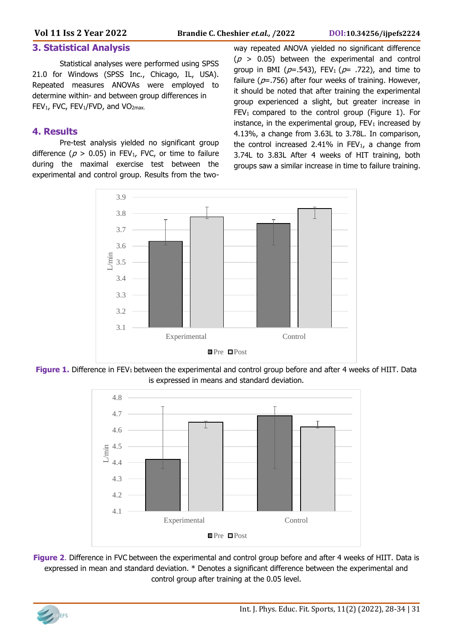# **3. Statistical Analysis**

Statistical analyses were performed using SPSS 21.0 for Windows (SPSS Inc., Chicago, IL, USA). Repeated measures ANOVAs were employed to determine within- and between group differences in FEV<sub>1</sub>, FVC, FEV<sub>1</sub>/FVD, and VO<sub>2max.</sub>

# **4. Results**

Pre-test analysis yielded no significant group difference ( $p > 0.05$ ) in FEV<sub>1</sub>, FVC, or time to failure during the maximal exercise test between the experimental and control group. Results from the twoway repeated ANOVA yielded no significant difference  $(p > 0.05)$  between the experimental and control group in BMI ( $p=$ .543), FEV<sub>1</sub> ( $p=$  .722), and time to failure ( $p=756$ ) after four weeks of training. However, it should be noted that after training the experimental group experienced a slight, but greater increase in  $FEV<sub>1</sub>$  compared to the control group (Figure 1). For instance, in the experimental group,  $FEV_1$  increased by 4.13%, a change from 3.63L to 3.78L. In comparison, the control increased 2.41% in FEV<sub>1</sub>, a change from 3.74L to 3.83L After 4 weeks of HIT training, both groups saw a similar increase in time to failure training.



**Figure 1.** Difference in FEV<sub>1</sub> between the experimental and control group before and after 4 weeks of HIIT. Data is expressed in means and standard deviation.



**Figure 2**. Difference in FVC between the experimental and control group before and after 4 weeks of HIIT. Data is expressed in mean and standard deviation. \* Denotes a significant difference between the experimental and control group after training at the 0.05 level.

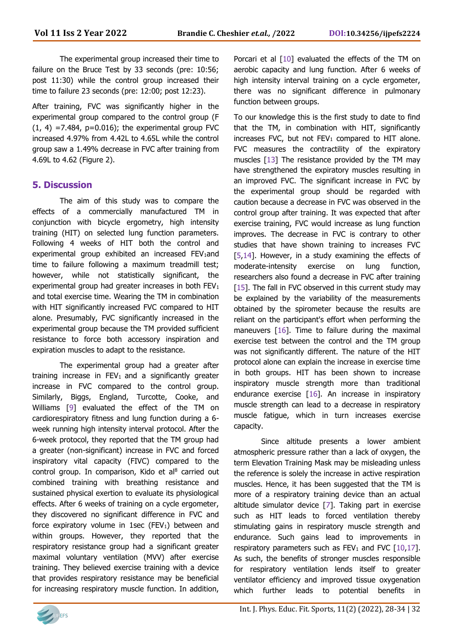The experimental group increased their time to failure on the Bruce Test by 33 seconds (pre: 10:56; post 11:30) while the control group increased their time to failure 23 seconds (pre: 12:00; post 12:23).

After training, FVC was significantly higher in the experimental group compared to the control group (F  $(1, 4)$  =7.484, p=0.016); the experimental group FVC increased 4.97% from 4.42L to 4.65L while the control group saw a 1.49% decrease in FVC after training from 4.69L to 4.62 (Figure 2).

# **5. Discussion**

The aim of this study was to compare the effects of a commercially manufactured TM in conjunction with bicycle ergometry, high intensity training (HIT) on selected lung function parameters. Following 4 weeks of HIT both the control and experimental group exhibited an increased FEV<sub>1</sub>and time to failure following a maximum treadmill test; however, while not statistically significant, the experimental group had greater increases in both FEV<sub>1</sub> and total exercise time. Wearing the TM in combination with HIT significantly increased FVC compared to HIT alone. Presumably, FVC significantly increased in the experimental group because the TM provided sufficient resistance to force both accessory inspiration and expiration muscles to adapt to the resistance.

The experimental group had a greater after training increase in  $FEV<sub>1</sub>$  and a significantly greater increase in FVC compared to the control group. Similarly, Biggs, England, Turcotte, Cooke, and Williams [9] evaluated the effect of the TM on cardiorespiratory fitness and lung function during a 6 week running high intensity interval protocol. After the 6-week protocol, they reported that the TM group had a greater (non-significant) increase in FVC and forced inspiratory vital capacity (FIVC) compared to the control group. In comparison, Kido et al $8$  carried out combined training with breathing resistance and sustained physical exertion to evaluate its physiological effects. After 6 weeks of training on a cycle ergometer, they discovered no significant difference in FVC and force expiratory volume in 1sec (FEV<sub>1</sub>) between and within groups. However, they reported that the respiratory resistance group had a significant greater maximal voluntary ventilation (MVV) after exercise training. They believed exercise training with a device that provides respiratory resistance may be beneficial for increasing respiratory muscle function. In addition,

Porcari et al  $[10]$  evaluated the effects of the TM on aerobic capacity and lung function. After 6 weeks of high intensity interval training on a cycle ergometer, there was no significant difference in pulmonary function between groups.

To our knowledge this is the first study to date to find that the TM, in combination with HIT, significantly increases FVC, but not  $FEV_1$  compared to HIT alone. FVC measures the contractility of the expiratory muscles [13] The resistance provided by the TM may have strengthened the expiratory muscles resulting in an improved FVC. The significant increase in FVC by the experimental group should be regarded with caution because a decrease in FVC was observed in the control group after training. It was expected that after exercise training, FVC would increase as lung function improves. The decrease in FVC is contrary to other studies that have shown training to increases FVC [5,14]. However, in a study examining the effects of moderate-intensity exercise on lung function, researchers also found a decrease in FVC after training [15]. The fall in FVC observed in this current study may be explained by the variability of the measurements obtained by the spirometer because the results are reliant on the participant's effort when performing the maneuvers [16]. Time to failure during the maximal exercise test between the control and the TM group was not significantly different. The nature of the HIT protocol alone can explain the increase in exercise time in both groups. HIT has been shown to increase inspiratory muscle strength more than traditional endurance exercise [16]. An increase in inspiratory muscle strength can lead to a decrease in respiratory muscle fatigue, which in turn increases exercise capacity.

Since altitude presents a lower ambient atmospheric pressure rather than a lack of oxygen, the term Elevation Training Mask may be misleading unless the reference is solely the increase in active respiration muscles. Hence, it has been suggested that the TM is more of a respiratory training device than an actual altitude simulator device [7]. Taking part in exercise such as HIT leads to forced ventilation thereby stimulating gains in respiratory muscle strength and endurance. Such gains lead to improvements in respiratory parameters such as  $FEV_1$  and  $FVC$  [10,17]. As such, the benefits of stronger muscles responsible for respiratory ventilation lends itself to greater ventilator efficiency and improved tissue oxygenation which further leads to potential benefits in

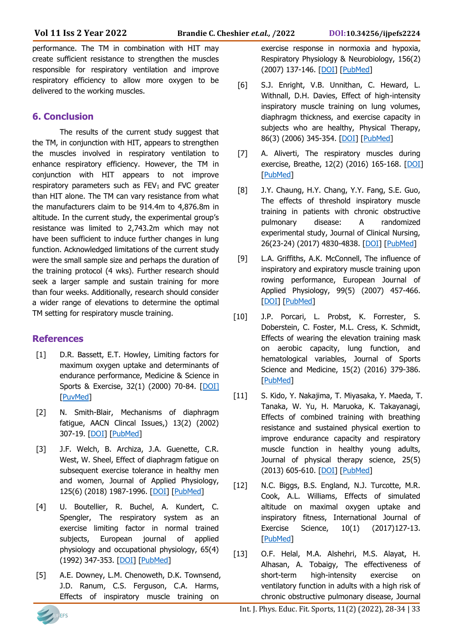performance. The TM in combination with HIT may create sufficient resistance to strengthen the muscles responsible for respiratory ventilation and improve respiratory efficiency to allow more oxygen to be delivered to the working muscles.

# **6. Conclusion**

The results of the current study suggest that the TM, in conjunction with HIT, appears to strengthen the muscles involved in respiratory ventilation to enhance respiratory efficiency. However, the TM in conjunction with HIT appears to not improve respiratory parameters such as  $FEV<sub>1</sub>$  and  $FVC$  greater than HIT alone. The TM can vary resistance from what the manufacturers claim to be 914.4m to 4,876.8m in altitude. In the current study, the experimental group's resistance was limited to 2,743.2m which may not have been sufficient to induce further changes in lung function. Acknowledged limitations of the current study were the small sample size and perhaps the duration of the training protocol (4 wks). Further research should seek a larger sample and sustain training for more than four weeks. Additionally, research should consider a wider range of elevations to determine the optimal TM setting for respiratory muscle training.

# **References**

- [1] D.R. Bassett, E.T. Howley, Limiting factors for maximum oxygen uptake and determinants of endurance performance, Medicine & Science in Sports & Exercise, 32(1) (2000) 70-84. [\[DOI\]](https://doi.org/10.1097/00005768-200001000-00012) [\[PuvMed\]](https://pubmed.ncbi.nlm.nih.gov/10647532/)
- [2] N. Smith-Blair, Mechanisms of diaphragm fatigue, AACN Clincal Issues,) 13(2) (2002) 307-19. [\[DOI\]](https://doi.org/10.1097/00044067-200205000-00014) [\[PubMed\]](https://pubmed.ncbi.nlm.nih.gov/12011601/)
- [3] J.F. Welch, B. Archiza, J.A. Guenette, C.R. West, W. Sheel, Effect of diaphragm fatigue on subsequent exercise tolerance in healthy men and women, Journal of Applied Physiology, 125(6) (2018) 1987-1996. [\[DOI\]](https://doi.org/10.1152/japplphysiol.00630.2018) [\[PubMed\]](https://pubmed.ncbi.nlm.nih.gov/30307818/)
- [4] U. Boutellier, R. Buchel, A. Kundert, C. Spengler, The respiratory system as an exercise limiting factor in normal trained subjects, European journal of applied physiology and occupational physiology, 65(4) (1992) 347-353. [\[DOI\]](https://doi.org/10.1007/bf00868139) [\[PubMed\]](https://pubmed.ncbi.nlm.nih.gov/1425635/)
- [5] A.E. Downey, L.M. Chenoweth, D.K. Townsend, J.D. Ranum, C.S. Ferguson, C.A. Harms, Effects of inspiratory muscle training on

exercise response in normoxia and hypoxia, Respiratory Physiology & Neurobiology, 156(2) (2007) 137-146. [\[DOI\]](https://doi.org/10.1016/j.resp.2006.08.006) [\[PubMed\]](https://pubmed.ncbi.nlm.nih.gov/16996322/)

- [6] S.J. Enright, V.B. Unnithan, C. Heward, L. Withnall, D.H. Davies, Effect of high-intensity inspiratory muscle training on lung volumes, diaphragm thickness, and exercise capacity in subjects who are healthy, Physical Therapy, 86(3) (2006) 345-354. [\[DOI\]](https://doi.org/10.1093/ptj/86.3.345) [\[PubMed\]](https://pubmed.ncbi.nlm.nih.gov/16506871/)
- [7] A. Aliverti, The respiratory muscles during exercise, Breathe, 12(2) (2016) 165-168. [\[DOI\]](https://doi.org/10.1183/20734735.008116) [\[PubMed\]](https://pubmed.ncbi.nlm.nih.gov/27408635/)
- [8] J.Y. Chaung, H.Y. Chang, Y.Y. Fang, S.E. Guo, The effects of threshold inspiratory muscle training in patients with chronic obstructive pulmonary disease: A randomized experimental study, Journal of Clinical Nursing, 26(23-24) (2017) 4830-4838. [\[DOI\]](https://doi.org/10.1111/jocn.13841) [\[PubMed\]](https://pubmed.ncbi.nlm.nih.gov/28382660/)
- [9] L.A. Griffiths, A.K. McConnell, The influence of inspiratory and expiratory muscle training upon rowing performance, European Journal of Applied Physiology, 99(5) (2007) 457-466. [\[DOI\]](https://doi.org/10.1007/s00421-006-0367-6) [\[PubMed\]](https://pubmed.ncbi.nlm.nih.gov/17186299/)
- [10] J.P. Porcari, L. Probst, K. Forrester, S. Doberstein, C. Foster, M.L. Cress, K. Schmidt, Effects of wearing the elevation training mask on aerobic capacity, lung function, and hematological variables, Journal of Sports Science and Medicine, 15(2) (2016) 379-386. [\[PubMed\]](https://pubmed.ncbi.nlm.nih.gov/27274679/)
- [11] S. Kido, Y. Nakajima, T. Miyasaka, Y. Maeda, T. Tanaka, W. Yu, H. Maruoka, K. Takayanagi, Effects of combined training with breathing resistance and sustained physical exertion to improve endurance capacity and respiratory muscle function in healthy young adults, Journal of physical therapy science, 25(5) (2013) 605-610. [\[DOI\]](https://doi.org/10.1589/jpts.25.605) [\[PubMed\]](https://pubmed.ncbi.nlm.nih.gov/24259812/)
- [12] N.C. Biggs, B.S. England, N.J. Turcotte, M.R. Cook, A.L. Williams, Effects of simulated altitude on maximal oxygen uptake and inspiratory fitness, International Journal of Exercise Science, 10(1) (2017)127-13. [\[PubMed\]](https://pubmed.ncbi.nlm.nih.gov/28479953/)
- [13] O.F. Helal, M.A. Alshehri, M.S. Alayat, H. Alhasan, A. Tobaigy, The effectiveness of short-term high-intensity exercise on ventilatory function in adults with a high risk of chronic obstructive pulmonary disease, Journal